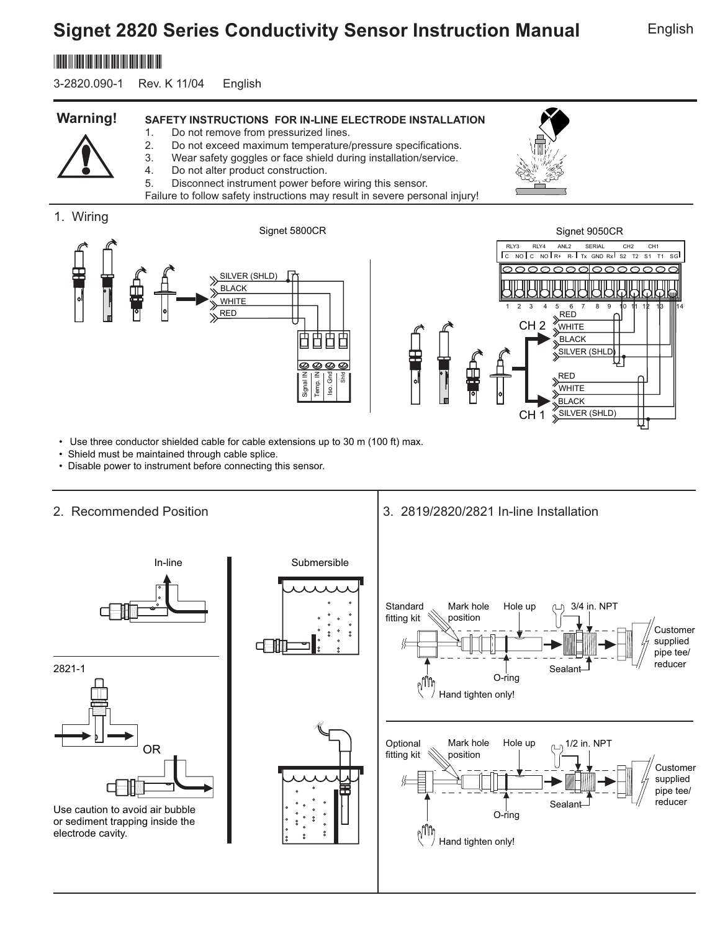# **Signet 2820 Series Conductivity Sensor Instruction Manual**

## \*3-2820.090\*

3-2820.090-1 Rev. K 11/04 English

#### **SAFETY INSTRUCTIONS FOR IN-LINE ELECTRODE INSTALLATION Warning!**

- 1. Do not remove from pressurized lines.
- 2. Do not exceed maximum temperature/pressure specifications. 3. Wear safety goggles or face shield during installation/service.

Failure to follow safety instructions may result in severe personal injury!

- 
- 4. Do not alter product construction. 5. Disconnect instrument power before wiring this sensor.
- 



• Use three conductor shielded cable for cable extensions up to 30 m (100 ft) max.

- Shield must be maintained through cable splice.
- Disable power to instrument before connecting this sensor.

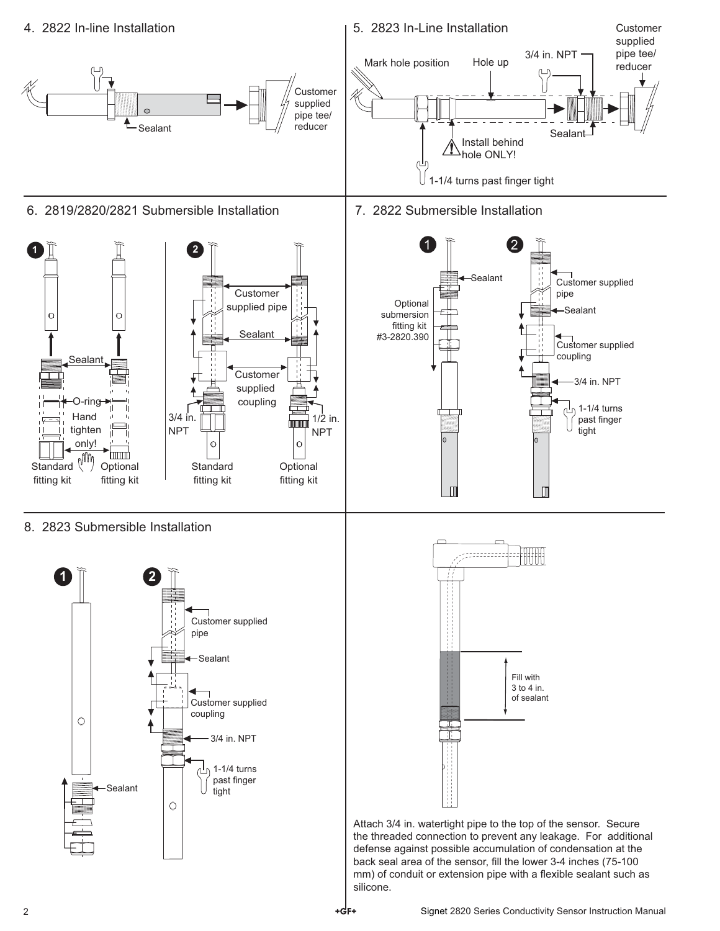

8. 2823 Submersible Installation





Attach 3/4 in. watertight pipe to the top of the sensor. Secure the threaded connection to prevent any leakage. For additional defense against possible accumulation of condensation at the back seal area of the sensor, fill the lower 3-4 inches (75-100 mm) of conduit or extension pipe with a flexible sealant such as silicone.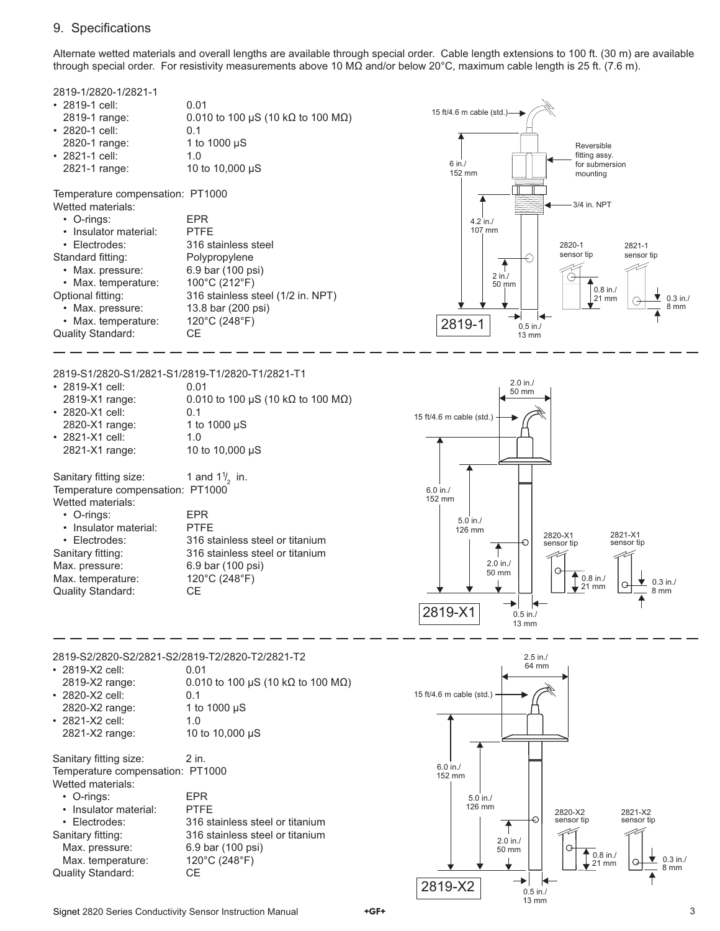### 9. Specifications

Alternate wetted materials and overall lengths are available through special order. Cable length extensions to 100 ft. (30 m) are available through special order. For resistivity measurements above 10 MΩ and/or below 20°C, maximum cable length is 25 ft. (7.6 m).



• 2820-X2 cell: 0.1 2820-X2 range: 1 to 1000 µS • 2821-X2 cell: 1.0 2821-X2 range: 10 to 10,000 µS

Sanitary fitting size: 2 in. Temperature compensation: PT1000 Wetted materials:

| • O-rings:               | FPR.                            |
|--------------------------|---------------------------------|
| • Insulator material:    | <b>PTFF</b>                     |
| • Electrodes:            | 316 stainless steel or titanium |
| Sanitary fitting:        | 316 stainless steel or titanium |
| Max. pressure:           | 6.9 bar (100 psi)               |
| Max. temperature:        | 120°C (248°F)                   |
| <b>Quality Standard:</b> | CE.                             |
|                          |                                 |